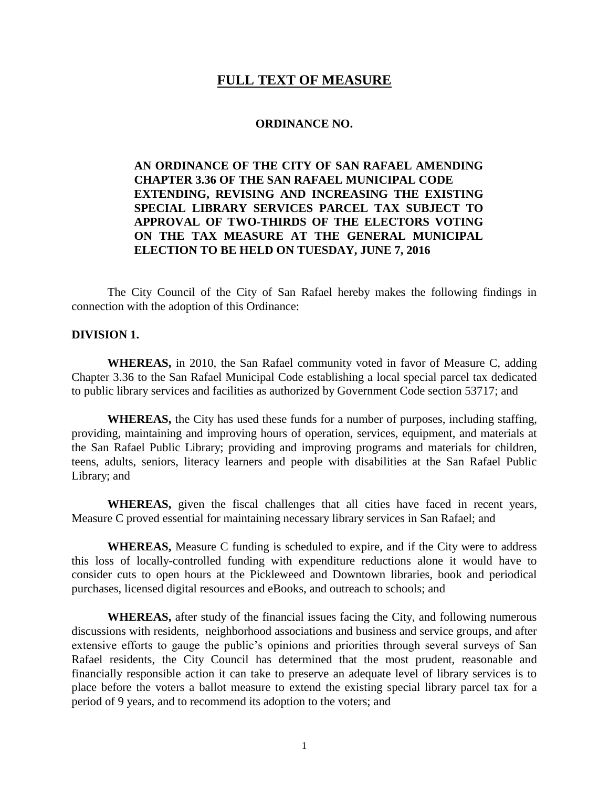# **FULL TEXT OF MEASURE**

#### **ORDINANCE NO.**

# **AN ORDINANCE OF THE CITY OF SAN RAFAEL AMENDING CHAPTER 3.36 OF THE SAN RAFAEL MUNICIPAL CODE EXTENDING, REVISING AND INCREASING THE EXISTING SPECIAL LIBRARY SERVICES PARCEL TAX SUBJECT TO APPROVAL OF TWO-THIRDS OF THE ELECTORS VOTING ON THE TAX MEASURE AT THE GENERAL MUNICIPAL ELECTION TO BE HELD ON TUESDAY, JUNE 7, 2016**

The City Council of the City of San Rafael hereby makes the following findings in connection with the adoption of this Ordinance:

#### **DIVISION 1.**

**WHEREAS,** in 2010, the San Rafael community voted in favor of Measure C, adding Chapter 3.36 to the San Rafael Municipal Code establishing a local special parcel tax dedicated to public library services and facilities as authorized by Government Code section 53717; and

**WHEREAS,** the City has used these funds for a number of purposes, including staffing, providing, maintaining and improving hours of operation, services, equipment, and materials at the San Rafael Public Library; providing and improving programs and materials for children, teens, adults, seniors, literacy learners and people with disabilities at the San Rafael Public Library; and

**WHEREAS,** given the fiscal challenges that all cities have faced in recent years, Measure C proved essential for maintaining necessary library services in San Rafael; and

**WHEREAS,** Measure C funding is scheduled to expire, and if the City were to address this loss of locally-controlled funding with expenditure reductions alone it would have to consider cuts to open hours at the Pickleweed and Downtown libraries, book and periodical purchases, licensed digital resources and eBooks, and outreach to schools; and

**WHEREAS,** after study of the financial issues facing the City, and following numerous discussions with residents, neighborhood associations and business and service groups, and after extensive efforts to gauge the public's opinions and priorities through several surveys of San Rafael residents, the City Council has determined that the most prudent, reasonable and financially responsible action it can take to preserve an adequate level of library services is to place before the voters a ballot measure to extend the existing special library parcel tax for a period of 9 years, and to recommend its adoption to the voters; and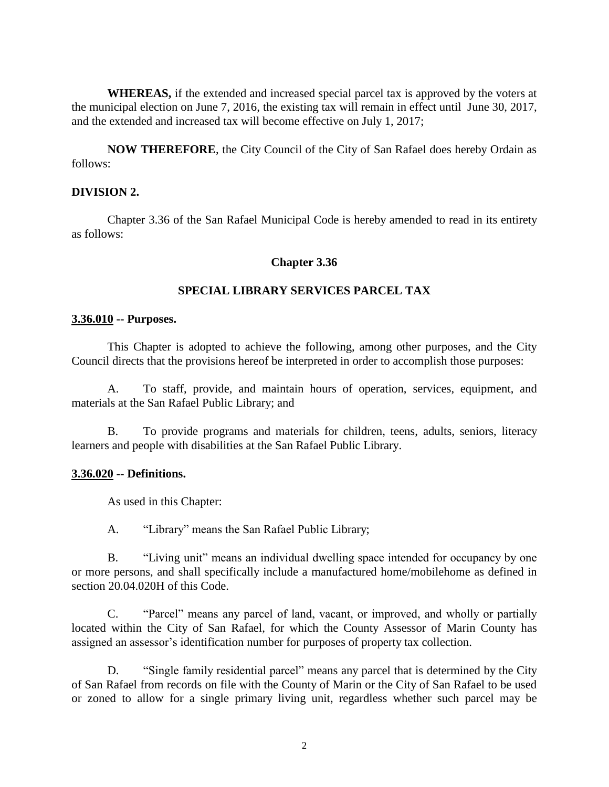**WHEREAS,** if the extended and increased special parcel tax is approved by the voters at the municipal election on June 7, 2016, the existing tax will remain in effect until June 30, 2017, and the extended and increased tax will become effective on July 1, 2017;

**NOW THEREFORE**, the City Council of the City of San Rafael does hereby Ordain as follows:

### **DIVISION 2.**

Chapter 3.36 of the San Rafael Municipal Code is hereby amended to read in its entirety as follows:

### **Chapter 3.36**

## **SPECIAL LIBRARY SERVICES PARCEL TAX**

### **3.36.010 -- Purposes.**

This Chapter is adopted to achieve the following, among other purposes, and the City Council directs that the provisions hereof be interpreted in order to accomplish those purposes:

A. To staff, provide, and maintain hours of operation, services, equipment, and materials at the San Rafael Public Library; and

B. To provide programs and materials for children, teens, adults, seniors, literacy learners and people with disabilities at the San Rafael Public Library.

### **3.36.020 -- Definitions.**

As used in this Chapter:

A. "Library" means the San Rafael Public Library;

B. "Living unit" means an individual dwelling space intended for occupancy by one or more persons, and shall specifically include a manufactured home/mobilehome as defined in section 20.04.020H of this Code.

C. "Parcel" means any parcel of land, vacant, or improved, and wholly or partially located within the City of San Rafael, for which the County Assessor of Marin County has assigned an assessor's identification number for purposes of property tax collection.

D. "Single family residential parcel" means any parcel that is determined by the City of San Rafael from records on file with the County of Marin or the City of San Rafael to be used or zoned to allow for a single primary living unit, regardless whether such parcel may be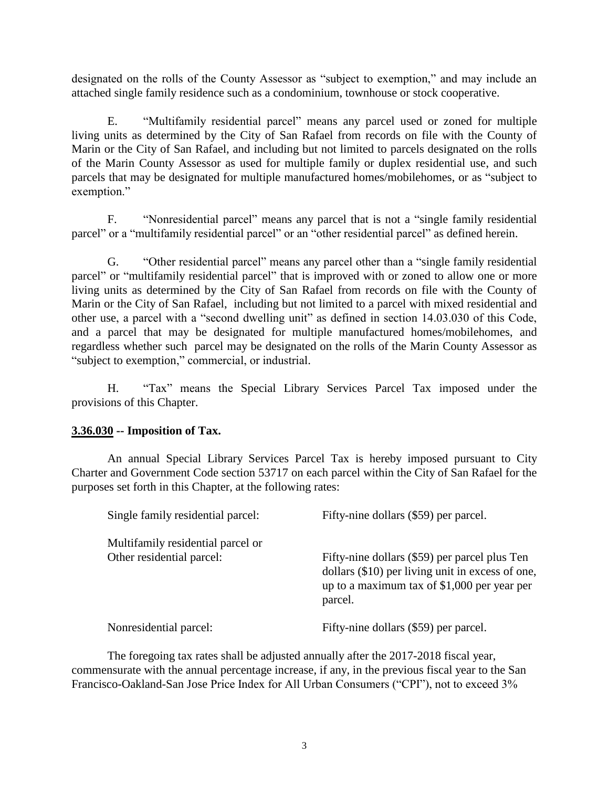designated on the rolls of the County Assessor as "subject to exemption," and may include an attached single family residence such as a condominium, townhouse or stock cooperative.

E. "Multifamily residential parcel" means any parcel used or zoned for multiple living units as determined by the City of San Rafael from records on file with the County of Marin or the City of San Rafael, and including but not limited to parcels designated on the rolls of the Marin County Assessor as used for multiple family or duplex residential use, and such parcels that may be designated for multiple manufactured homes/mobilehomes, or as "subject to exemption."

F. "Nonresidential parcel" means any parcel that is not a "single family residential parcel" or a "multifamily residential parcel" or an "other residential parcel" as defined herein.

G. "Other residential parcel" means any parcel other than a "single family residential parcel" or "multifamily residential parcel" that is improved with or zoned to allow one or more living units as determined by the City of San Rafael from records on file with the County of Marin or the City of San Rafael, including but not limited to a parcel with mixed residential and other use, a parcel with a "second dwelling unit" as defined in section 14.03.030 of this Code, and a parcel that may be designated for multiple manufactured homes/mobilehomes, and regardless whether such parcel may be designated on the rolls of the Marin County Assessor as "subject to exemption," commercial, or industrial.

H. "Tax" means the Special Library Services Parcel Tax imposed under the provisions of this Chapter.

# **3.36.030 -- Imposition of Tax.**

An annual Special Library Services Parcel Tax is hereby imposed pursuant to City Charter and Government Code section 53717 on each parcel within the City of San Rafael for the purposes set forth in this Chapter, at the following rates:

| Single family residential parcel:                              | Fifty-nine dollars (\$59) per parcel.                                                                                                                        |
|----------------------------------------------------------------|--------------------------------------------------------------------------------------------------------------------------------------------------------------|
| Multifamily residential parcel or<br>Other residential parcel: | Fifty-nine dollars (\$59) per parcel plus Ten<br>dollars (\$10) per living unit in excess of one,<br>up to a maximum tax of $$1,000$ per year per<br>parcel. |
| Nonresidential parcel:                                         | Fifty-nine dollars (\$59) per parcel.                                                                                                                        |

The foregoing tax rates shall be adjusted annually after the 2017-2018 fiscal year, commensurate with the annual percentage increase, if any, in the previous fiscal year to the San Francisco-Oakland-San Jose Price Index for All Urban Consumers ("CPI"), not to exceed 3%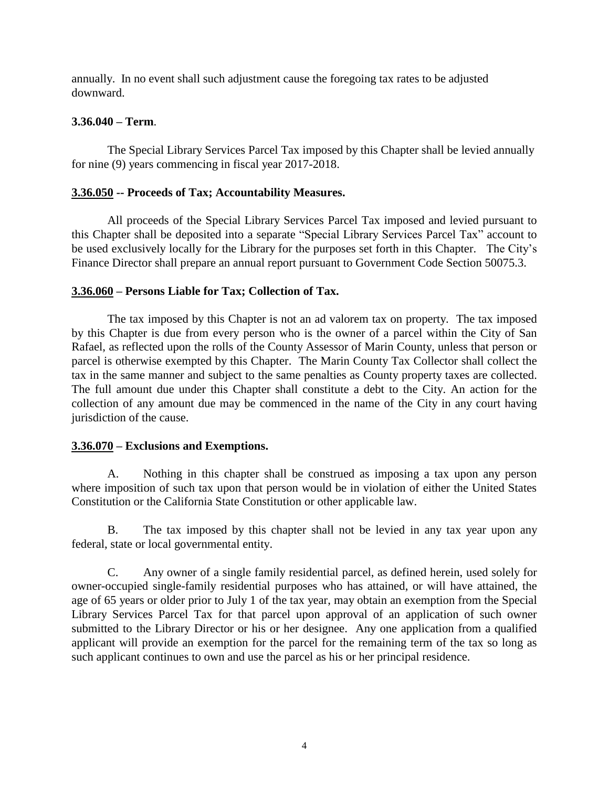annually. In no event shall such adjustment cause the foregoing tax rates to be adjusted downward.

## **3.36.040 – Term**.

The Special Library Services Parcel Tax imposed by this Chapter shall be levied annually for nine (9) years commencing in fiscal year 2017-2018.

# **3.36.050 -- Proceeds of Tax; Accountability Measures.**

All proceeds of the Special Library Services Parcel Tax imposed and levied pursuant to this Chapter shall be deposited into a separate "Special Library Services Parcel Tax" account to be used exclusively locally for the Library for the purposes set forth in this Chapter. The City's Finance Director shall prepare an annual report pursuant to Government Code Section 50075.3.

# **3.36.060 – Persons Liable for Tax; Collection of Tax.**

The tax imposed by this Chapter is not an ad valorem tax on property. The tax imposed by this Chapter is due from every person who is the owner of a parcel within the City of San Rafael, as reflected upon the rolls of the County Assessor of Marin County, unless that person or parcel is otherwise exempted by this Chapter. The Marin County Tax Collector shall collect the tax in the same manner and subject to the same penalties as County property taxes are collected. The full amount due under this Chapter shall constitute a debt to the City. An action for the collection of any amount due may be commenced in the name of the City in any court having jurisdiction of the cause.

## **3.36.070 – Exclusions and Exemptions.**

A. Nothing in this chapter shall be construed as imposing a tax upon any person where imposition of such tax upon that person would be in violation of either the United States Constitution or the California State Constitution or other applicable law.

B. The tax imposed by this chapter shall not be levied in any tax year upon any federal, state or local governmental entity.

C. Any owner of a single family residential parcel, as defined herein, used solely for owner-occupied single-family residential purposes who has attained, or will have attained, the age of 65 years or older prior to July 1 of the tax year, may obtain an exemption from the Special Library Services Parcel Tax for that parcel upon approval of an application of such owner submitted to the Library Director or his or her designee. Any one application from a qualified applicant will provide an exemption for the parcel for the remaining term of the tax so long as such applicant continues to own and use the parcel as his or her principal residence.